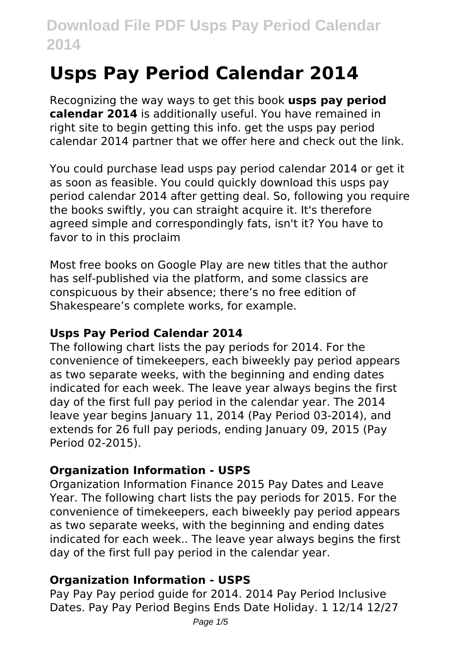# **Usps Pay Period Calendar 2014**

Recognizing the way ways to get this book **usps pay period calendar 2014** is additionally useful. You have remained in right site to begin getting this info. get the usps pay period calendar 2014 partner that we offer here and check out the link.

You could purchase lead usps pay period calendar 2014 or get it as soon as feasible. You could quickly download this usps pay period calendar 2014 after getting deal. So, following you require the books swiftly, you can straight acquire it. It's therefore agreed simple and correspondingly fats, isn't it? You have to favor to in this proclaim

Most free books on Google Play are new titles that the author has self-published via the platform, and some classics are conspicuous by their absence; there's no free edition of Shakespeare's complete works, for example.

### **Usps Pay Period Calendar 2014**

The following chart lists the pay periods for 2014. For the convenience of timekeepers, each biweekly pay period appears as two separate weeks, with the beginning and ending dates indicated for each week. The leave year always begins the first day of the first full pay period in the calendar year. The 2014 leave year begins January 11, 2014 (Pay Period 03-2014), and extends for 26 full pay periods, ending January 09, 2015 (Pay Period 02-2015).

# **Organization Information - USPS**

Organization Information Finance 2015 Pay Dates and Leave Year. The following chart lists the pay periods for 2015. For the convenience of timekeepers, each biweekly pay period appears as two separate weeks, with the beginning and ending dates indicated for each week.. The leave year always begins the first day of the first full pay period in the calendar year.

# **Organization Information - USPS**

Pay Pay Pay period guide for 2014. 2014 Pay Period Inclusive Dates. Pay Pay Period Begins Ends Date Holiday. 1 12/14 12/27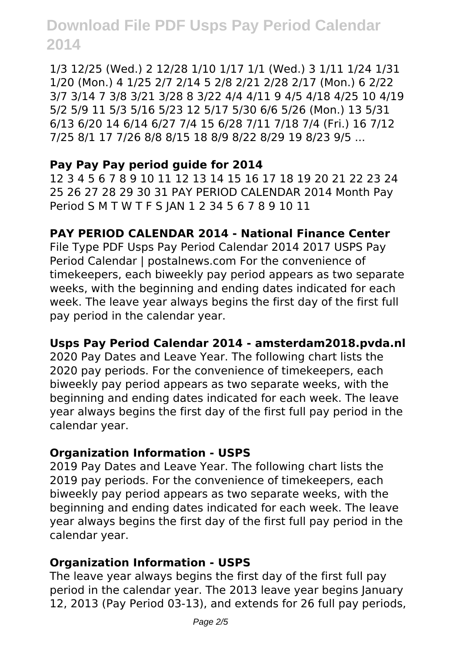1/3 12/25 (Wed.) 2 12/28 1/10 1/17 1/1 (Wed.) 3 1/11 1/24 1/31 1/20 (Mon.) 4 1/25 2/7 2/14 5 2/8 2/21 2/28 2/17 (Mon.) 6 2/22 3/7 3/14 7 3/8 3/21 3/28 8 3/22 4/4 4/11 9 4/5 4/18 4/25 10 4/19 5/2 5/9 11 5/3 5/16 5/23 12 5/17 5/30 6/6 5/26 (Mon.) 13 5/31 6/13 6/20 14 6/14 6/27 7/4 15 6/28 7/11 7/18 7/4 (Fri.) 16 7/12 7/25 8/1 17 7/26 8/8 8/15 18 8/9 8/22 8/29 19 8/23 9/5 ...

# **Pay Pay Pay period guide for 2014**

12 3 4 5 6 7 8 9 10 11 12 13 14 15 16 17 18 19 20 21 22 23 24 25 26 27 28 29 30 31 PAY PERIOD CALENDAR 2014 Month Pay Period S M T W T F S JAN 1 2 34 5 6 7 8 9 10 11

# **PAY PERIOD CALENDAR 2014 - National Finance Center**

File Type PDF Usps Pay Period Calendar 2014 2017 USPS Pay Period Calendar | postalnews.com For the convenience of timekeepers, each biweekly pay period appears as two separate weeks, with the beginning and ending dates indicated for each week. The leave year always begins the first day of the first full pay period in the calendar year.

# **Usps Pay Period Calendar 2014 - amsterdam2018.pvda.nl**

2020 Pay Dates and Leave Year. The following chart lists the 2020 pay periods. For the convenience of timekeepers, each biweekly pay period appears as two separate weeks, with the beginning and ending dates indicated for each week. The leave year always begins the first day of the first full pay period in the calendar year.

# **Organization Information - USPS**

2019 Pay Dates and Leave Year. The following chart lists the 2019 pay periods. For the convenience of timekeepers, each biweekly pay period appears as two separate weeks, with the beginning and ending dates indicated for each week. The leave year always begins the first day of the first full pay period in the calendar year.

# **Organization Information - USPS**

The leave year always begins the first day of the first full pay period in the calendar year. The 2013 leave year begins January 12, 2013 (Pay Period 03-13), and extends for 26 full pay periods,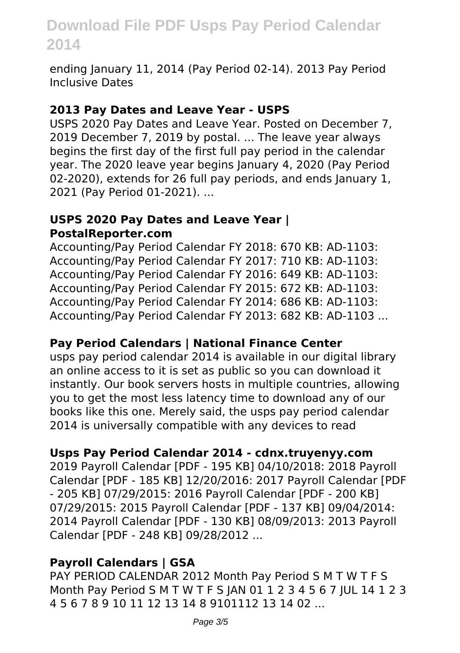ending January 11, 2014 (Pay Period 02-14). 2013 Pay Period Inclusive Dates

#### **2013 Pay Dates and Leave Year - USPS**

USPS 2020 Pay Dates and Leave Year. Posted on December 7, 2019 December 7, 2019 by postal. ... The leave year always begins the first day of the first full pay period in the calendar year. The 2020 leave year begins January 4, 2020 (Pay Period 02-2020), extends for 26 full pay periods, and ends January 1, 2021 (Pay Period 01-2021). ...

#### **USPS 2020 Pay Dates and Leave Year | PostalReporter.com**

Accounting/Pay Period Calendar FY 2018: 670 KB: AD-1103: Accounting/Pay Period Calendar FY 2017: 710 KB: AD-1103: Accounting/Pay Period Calendar FY 2016: 649 KB: AD-1103: Accounting/Pay Period Calendar FY 2015: 672 KB: AD-1103: Accounting/Pay Period Calendar FY 2014: 686 KB: AD-1103: Accounting/Pay Period Calendar FY 2013: 682 KB: AD-1103 ...

# **Pay Period Calendars | National Finance Center**

usps pay period calendar 2014 is available in our digital library an online access to it is set as public so you can download it instantly. Our book servers hosts in multiple countries, allowing you to get the most less latency time to download any of our books like this one. Merely said, the usps pay period calendar 2014 is universally compatible with any devices to read

# **Usps Pay Period Calendar 2014 - cdnx.truyenyy.com**

2019 Payroll Calendar [PDF - 195 KB] 04/10/2018: 2018 Payroll Calendar [PDF - 185 KB] 12/20/2016: 2017 Payroll Calendar [PDF - 205 KB] 07/29/2015: 2016 Payroll Calendar [PDF - 200 KB] 07/29/2015: 2015 Payroll Calendar [PDF - 137 KB] 09/04/2014: 2014 Payroll Calendar [PDF - 130 KB] 08/09/2013: 2013 Payroll Calendar [PDF - 248 KB] 09/28/2012 ...

# **Payroll Calendars | GSA**

PAY PERIOD CALENDAR 2012 Month Pay Period S M T W T F S Month Pay Period S M T W T F S JAN 01 1 2 3 4 5 6 7 JUL 14 1 2 3 4 5 6 7 8 9 10 11 12 13 14 8 9101112 13 14 02 ...